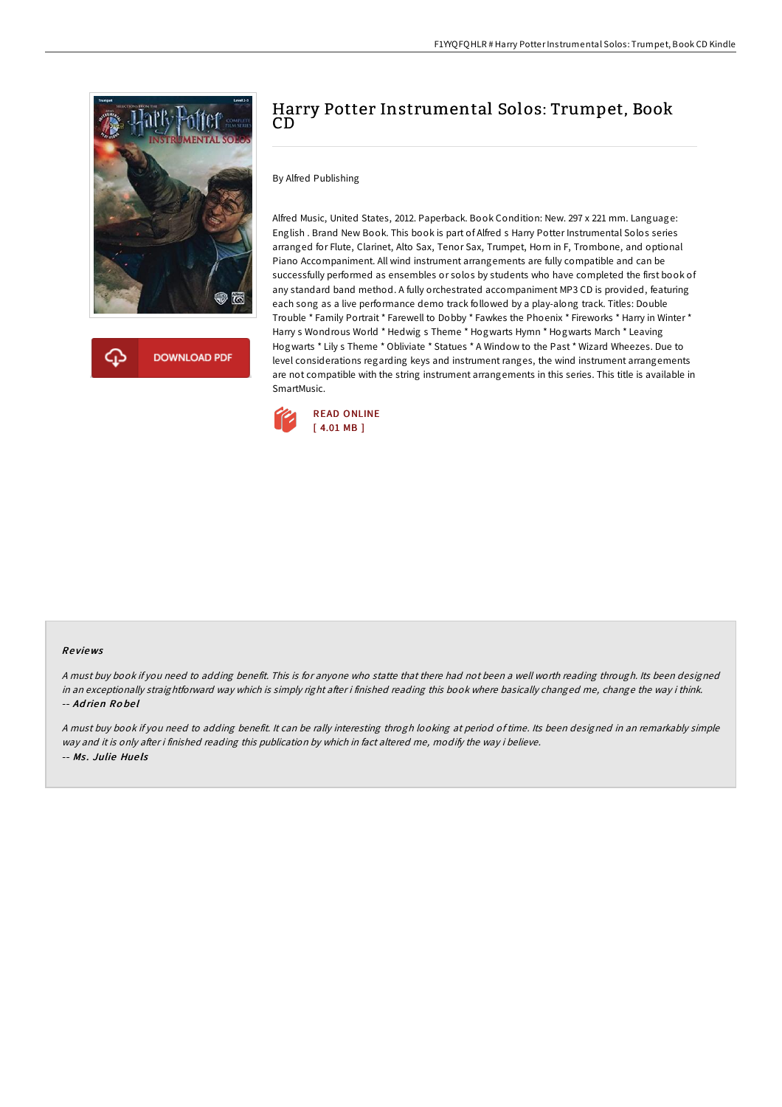

**DOWNLOAD PDF** 

## Harry Potter Instrumental Solos: Trumpet, Book CD

By Alfred Publishing

Alfred Music, United States, 2012. Paperback. Book Condition: New. 297 x 221 mm. Language: English . Brand New Book. This book is part of Alfred s Harry Potter Instrumental Solos series arranged for Flute, Clarinet, Alto Sax, Tenor Sax, Trumpet, Horn in F, Trombone, and optional Piano Accompaniment. All wind instrument arrangements are fully compatible and can be successfully performed as ensembles or solos by students who have completed the first book of any standard band method. A fully orchestrated accompaniment MP3 CD is provided, featuring each song as a live performance demo track followed by a play-along track. Titles: Double Trouble \* Family Portrait \* Farewell to Dobby \* Fawkes the Phoenix \* Fireworks \* Harry in Winter \* Harry s Wondrous World \* Hedwig s Theme \* Hogwarts Hymn \* Hogwarts March \* Leaving Hogwarts \* Lily s Theme \* Obliviate \* Statues \* A Window to the Past \* Wizard Wheezes. Due to level considerations regarding keys and instrument ranges, the wind instrument arrangements are not compatible with the string instrument arrangements in this series. This title is available in SmartMusic.



## Re views

<sup>A</sup> must buy book if you need to adding benefit. This is for anyone who statte that there had not been <sup>a</sup> well worth reading through. Its been designed in an exceptionally straightforward way which is simply right after i finished reading this book where basically changed me, change the way i think. -- Ad rien Ro be l

<sup>A</sup> must buy book if you need to adding benefit. It can be rally interesting throgh looking at period of time. Its been designed in an remarkably simple way and it is only after i finished reading this publication by which in fact altered me, modify the way i believe. -- Ms. Julie Huels